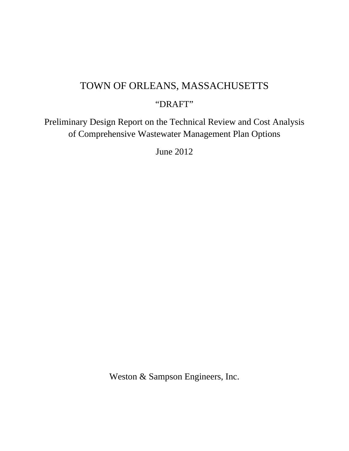# TOWN OF ORLEANS, MASSACHUSETTS

# "DRAFT"

Preliminary Design Report on the Technical Review and Cost Analysis of Comprehensive Wastewater Management Plan Options

June 2012

Weston & Sampson Engineers, Inc.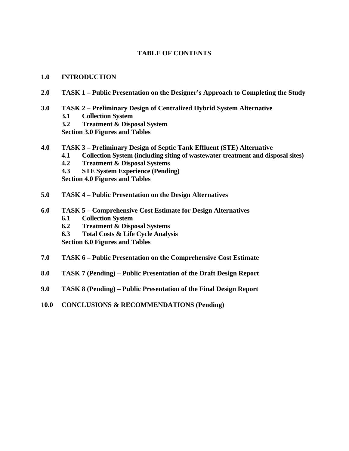# **TABLE OF CONTENTS**

#### **1.0 INTRODUCTION**

- **2.0 TASK 1 Public Presentation on the Designer's Approach to Completing the Study**
- **3.0 TASK 2 Preliminary Design of Centralized Hybrid System Alternative** 
	- **3.1 Collection System**
	- **3.2 Treatment & Disposal System**

**Section 3.0 Figures and Tables** 

- **4.0 TASK 3 Preliminary Design of Septic Tank Effluent (STE) Alternative** 
	- **4.1 Collection System (including siting of wastewater treatment and disposal sites)**
	- **4.2 Treatment & Disposal Systems**
	- **4.3 STE System Experience (Pending)**

**Section 4.0 Figures and Tables** 

- **5.0 TASK 4 Public Presentation on the Design Alternatives**
- **6.0 TASK 5 Comprehensive Cost Estimate for Design Alternatives** 
	- **6.1 Collection System**
	- **6.2 Treatment & Disposal Systems**
	- **6.3 Total Costs & Life Cycle Analysis**

**Section 6.0 Figures and Tables** 

- **7.0 TASK 6 Public Presentation on the Comprehensive Cost Estimate**
- **8.0 TASK 7 (Pending) Public Presentation of the Draft Design Report**
- **9.0 TASK 8 (Pending) Public Presentation of the Final Design Report**
- **10.0 CONCLUSIONS & RECOMMENDATIONS (Pending)**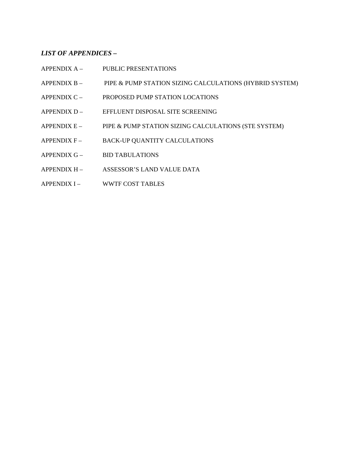#### *LIST OF APPENDICES –*

- APPENDIX A PUBLIC PRESENTATIONS
- APPENDIX B PIPE & PUMP STATION SIZING CALCULATIONS (HYBRID SYSTEM)
- APPENDIX C PROPOSED PUMP STATION LOCATIONS
- APPENDIX D EFFLUENT DISPOSAL SITE SCREENING
- APPENDIX E PIPE & PUMP STATION SIZING CALCULATIONS (STE SYSTEM)
- APPENDIX F BACK-UP QUANTITY CALCULATIONS
- APPENDIX G BID TABULATIONS
- APPENDIX H ASSESSOR'S LAND VALUE DATA
- APPENDIX I WWTF COST TABLES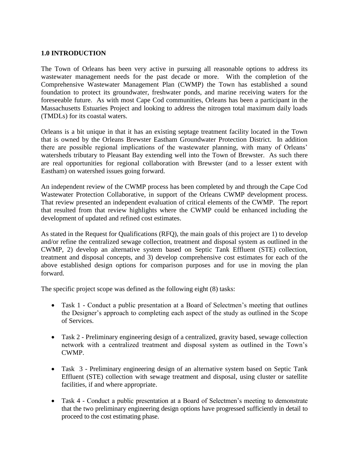### **1.0 INTRODUCTION**

The Town of Orleans has been very active in pursuing all reasonable options to address its wastewater management needs for the past decade or more. With the completion of the Comprehensive Wastewater Management Plan (CWMP) the Town has established a sound foundation to protect its groundwater, freshwater ponds, and marine receiving waters for the foreseeable future. As with most Cape Cod communities, Orleans has been a participant in the Massachusetts Estuaries Project and looking to address the nitrogen total maximum daily loads (TMDLs) for its coastal waters.

Orleans is a bit unique in that it has an existing septage treatment facility located in the Town that is owned by the Orleans Brewster Eastham Groundwater Protection District. In addition there are possible regional implications of the wastewater planning, with many of Orleans' watersheds tributary to Pleasant Bay extending well into the Town of Brewster. As such there are real opportunities for regional collaboration with Brewster (and to a lesser extent with Eastham) on watershed issues going forward.

An independent review of the CWMP process has been completed by and through the Cape Cod Wastewater Protection Collaborative, in support of the Orleans CWMP development process. That review presented an independent evaluation of critical elements of the CWMP. The report that resulted from that review highlights where the CWMP could be enhanced including the development of updated and refined cost estimates.

As stated in the Request for Qualifications (RFQ), the main goals of this project are 1) to develop and/or refine the centralized sewage collection, treatment and disposal system as outlined in the CWMP, 2) develop an alternative system based on Septic Tank Effluent (STE) collection, treatment and disposal concepts, and 3) develop comprehensive cost estimates for each of the above established design options for comparison purposes and for use in moving the plan forward.

The specific project scope was defined as the following eight (8) tasks:

- Task 1 Conduct a public presentation at a Board of Selectmen's meeting that outlines the Designer's approach to completing each aspect of the study as outlined in the Scope of Services.
- Task 2 Preliminary engineering design of a centralized, gravity based, sewage collection network with a centralized treatment and disposal system as outlined in the Town's CWMP.
- Task 3 Preliminary engineering design of an alternative system based on Septic Tank Effluent (STE) collection with sewage treatment and disposal, using cluster or satellite facilities, if and where appropriate.
- Task 4 Conduct a public presentation at a Board of Selectmen's meeting to demonstrate that the two preliminary engineering design options have progressed sufficiently in detail to proceed to the cost estimating phase.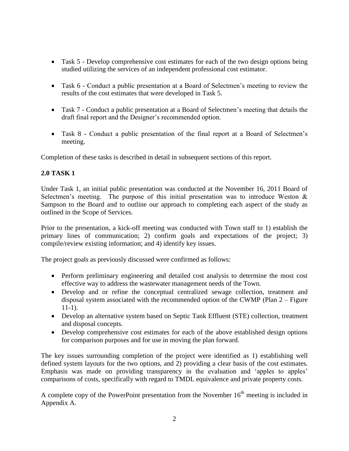- Task 5 Develop comprehensive cost estimates for each of the two design options being studied utilizing the services of an independent professional cost estimator.
- Task 6 Conduct a public presentation at a Board of Selectmen's meeting to review the results of the cost estimates that were developed in Task 5.
- Task 7 Conduct a public presentation at a Board of Selectmen's meeting that details the draft final report and the Designer's recommended option.
- Task 8 Conduct a public presentation of the final report at a Board of Selectmen's meeting.

Completion of these tasks is described in detail in subsequent sections of this report.

# **2.0 TASK 1**

Under Task 1, an initial public presentation was conducted at the November 16, 2011 Board of Selectmen's meeting. The purpose of this initial presentation was to introduce Weston  $\&$ Sampson to the Board and to outline our approach to completing each aspect of the study as outlined in the Scope of Services.

Prior to the presentation, a kick-off meeting was conducted with Town staff to 1) establish the primary lines of communication; 2) confirm goals and expectations of the project; 3) compile/review existing information; and 4) identify key issues.

The project goals as previously discussed were confirmed as follows:

- Perform preliminary engineering and detailed cost analysis to determine the most cost effective way to address the wastewater management needs of the Town.
- Develop and or refine the conceptual centralized sewage collection, treatment and disposal system associated with the recommended option of the CWMP (Plan 2 – Figure 11-1).
- Develop an alternative system based on Septic Tank Effluent (STE) collection, treatment and disposal concepts.
- Develop comprehensive cost estimates for each of the above established design options for comparison purposes and for use in moving the plan forward.

The key issues surrounding completion of the project were identified as 1) establishing well defined system layouts for the two options, and 2) providing a clear basis of the cost estimates. Emphasis was made on providing transparency in the evaluation and 'apples to apples' comparisons of costs, specifically with regard to TMDL equivalence and private property costs.

A complete copy of the PowerPoint presentation from the November  $16<sup>th</sup>$  meeting is included in Appendix A.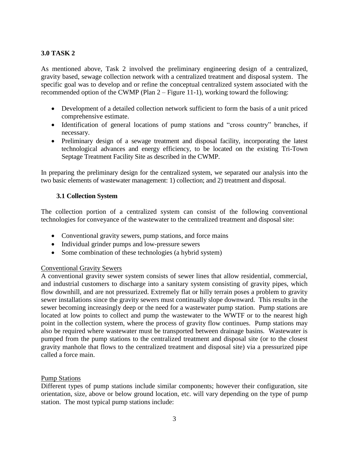# **3.0 TASK 2**

As mentioned above, Task 2 involved the preliminary engineering design of a centralized, gravity based, sewage collection network with a centralized treatment and disposal system. The specific goal was to develop and or refine the conceptual centralized system associated with the recommended option of the CWMP (Plan 2 – Figure 11-1), working toward the following:

- Development of a detailed collection network sufficient to form the basis of a unit priced comprehensive estimate.
- Identification of general locations of pump stations and "cross country" branches, if necessary.
- Preliminary design of a sewage treatment and disposal facility, incorporating the latest technological advances and energy efficiency, to be located on the existing Tri-Town Septage Treatment Facility Site as described in the CWMP.

In preparing the preliminary design for the centralized system, we separated our analysis into the two basic elements of wastewater management: 1) collection; and 2) treatment and disposal.

#### **3.1 Collection System**

The collection portion of a centralized system can consist of the following conventional technologies for conveyance of the wastewater to the centralized treatment and disposal site:

- Conventional gravity sewers, pump stations, and force mains
- Individual grinder pumps and low-pressure sewers
- Some combination of these technologies (a hybrid system)

#### Conventional Gravity Sewers

A conventional gravity sewer system consists of sewer lines that allow residential, commercial, and industrial customers to discharge into a sanitary system consisting of gravity pipes, which flow downhill, and are not pressurized. Extremely flat or hilly terrain poses a problem to gravity sewer installations since the gravity sewers must continually slope downward. This results in the sewer becoming increasingly deep or the need for a wastewater pump station. Pump stations are located at low points to collect and pump the wastewater to the WWTF or to the nearest high point in the collection system, where the process of gravity flow continues. Pump stations may also be required where wastewater must be transported between drainage basins. Wastewater is pumped from the pump stations to the centralized treatment and disposal site (or to the closest gravity manhole that flows to the centralized treatment and disposal site) via a pressurized pipe called a force main.

#### Pump Stations

Different types of pump stations include similar components; however their configuration, site orientation, size, above or below ground location, etc. will vary depending on the type of pump station. The most typical pump stations include: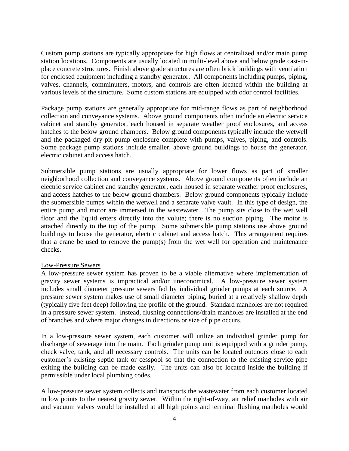Custom pump stations are typically appropriate for high flows at centralized and/or main pump station locations. Components are usually located in multi-level above and below grade cast-inplace concrete structures. Finish above grade structures are often brick buildings with ventilation for enclosed equipment including a standby generator. All components including pumps, piping, valves, channels, comminuters, motors, and controls are often located within the building at various levels of the structure. Some custom stations are equipped with odor control facilities.

Package pump stations are generally appropriate for mid-range flows as part of neighborhood collection and conveyance systems. Above ground components often include an electric service cabinet and standby generator, each housed in separate weather proof enclosures, and access hatches to the below ground chambers. Below ground components typically include the wetwell and the packaged dry-pit pump enclosure complete with pumps, valves, piping, and controls. Some package pump stations include smaller, above ground buildings to house the generator, electric cabinet and access hatch.

Submersible pump stations are usually appropriate for lower flows as part of smaller neighborhood collection and conveyance systems. Above ground components often include an electric service cabinet and standby generator, each housed in separate weather proof enclosures, and access hatches to the below ground chambers. Below ground components typically include the submersible pumps within the wetwell and a separate valve vault. In this type of design, the entire pump and motor are immersed in the wastewater. The pump sits close to the wet well floor and the liquid enters directly into the volute; there is no suction piping. The motor is attached directly to the top of the pump. Some submersible pump stations use above ground buildings to house the generator, electric cabinet and access hatch. This arrangement requires that a crane be used to remove the pump(s) from the wet well for operation and maintenance checks.

#### Low-Pressure Sewers

A low-pressure sewer system has proven to be a viable alternative where implementation of gravity sewer systems is impractical and/or uneconomical. A low-pressure sewer system includes small diameter pressure sewers fed by individual grinder pumps at each source. A pressure sewer system makes use of small diameter piping, buried at a relatively shallow depth (typically five feet deep) following the profile of the ground. Standard manholes are not required in a pressure sewer system. Instead, flushing connections/drain manholes are installed at the end of branches and where major changes in directions or size of pipe occurs.

In a low-pressure sewer system, each customer will utilize an individual grinder pump for discharge of sewerage into the main. Each grinder pump unit is equipped with a grinder pump, check valve, tank, and all necessary controls. The units can be located outdoors close to each customer's existing septic tank or cesspool so that the connection to the existing service pipe exiting the building can be made easily. The units can also be located inside the building if permissible under local plumbing codes.

A low-pressure sewer system collects and transports the wastewater from each customer located in low points to the nearest gravity sewer. Within the right-of-way, air relief manholes with air and vacuum valves would be installed at all high points and terminal flushing manholes would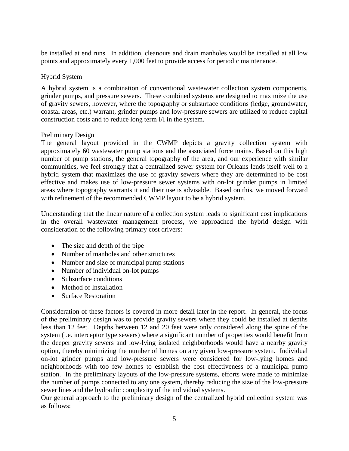be installed at end runs. In addition, cleanouts and drain manholes would be installed at all low points and approximately every 1,000 feet to provide access for periodic maintenance.

#### Hybrid System

A hybrid system is a combination of conventional wastewater collection system components, grinder pumps, and pressure sewers. These combined systems are designed to maximize the use of gravity sewers, however, where the topography or subsurface conditions (ledge, groundwater, coastal areas, etc.) warrant, grinder pumps and low-pressure sewers are utilized to reduce capital construction costs and to reduce long term I/I in the system.

#### Preliminary Design

The general layout provided in the CWMP depicts a gravity collection system with approximately 60 wastewater pump stations and the associated force mains. Based on this high number of pump stations, the general topography of the area, and our experience with similar communities, we feel strongly that a centralized sewer system for Orleans lends itself well to a hybrid system that maximizes the use of gravity sewers where they are determined to be cost effective and makes use of low-pressure sewer systems with on-lot grinder pumps in limited areas where topography warrants it and their use is advisable. Based on this, we moved forward with refinement of the recommended CWMP layout to be a hybrid system.

Understanding that the linear nature of a collection system leads to significant cost implications in the overall wastewater management process, we approached the hybrid design with consideration of the following primary cost drivers:

- The size and depth of the pipe
- Number of manholes and other structures
- Number and size of municipal pump stations
- Number of individual on-lot pumps
- Subsurface conditions
- Method of Installation
- Surface Restoration

Consideration of these factors is covered in more detail later in the report. In general, the focus of the preliminary design was to provide gravity sewers where they could be installed at depths less than 12 feet. Depths between 12 and 20 feet were only considered along the spine of the system (i.e. interceptor type sewers) where a significant number of properties would benefit from the deeper gravity sewers and low-lying isolated neighborhoods would have a nearby gravity option, thereby minimizing the number of homes on any given low-pressure system. Individual on-lot grinder pumps and low-pressure sewers were considered for low-lying homes and neighborhoods with too few homes to establish the cost effectiveness of a municipal pump station. In the preliminary layouts of the low-pressure systems, efforts were made to minimize the number of pumps connected to any one system, thereby reducing the size of the low-pressure sewer lines and the hydraulic complexity of the individual systems.

Our general approach to the preliminary design of the centralized hybrid collection system was as follows: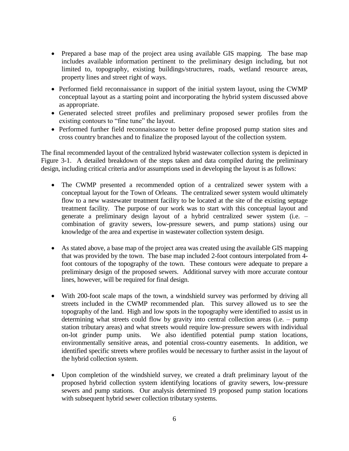- Prepared a base map of the project area using available GIS mapping. The base map includes available information pertinent to the preliminary design including, but not limited to, topography, existing buildings/structures, roads, wetland resource areas, property lines and street right of ways.
- Performed field reconnaissance in support of the initial system layout, using the CWMP conceptual layout as a starting point and incorporating the hybrid system discussed above as appropriate.
- Generated selected street profiles and preliminary proposed sewer profiles from the existing contours to "fine tune" the layout.
- Performed further field reconnaissance to better define proposed pump station sites and cross country branches and to finalize the proposed layout of the collection system.

The final recommended layout of the centralized hybrid wastewater collection system is depicted in Figure 3-1. A detailed breakdown of the steps taken and data compiled during the preliminary design, including critical criteria and/or assumptions used in developing the layout is as follows:

- The CWMP presented a recommended option of a centralized sewer system with a conceptual layout for the Town of Orleans. The centralized sewer system would ultimately flow to a new wastewater treatment facility to be located at the site of the existing septage treatment facility. The purpose of our work was to start with this conceptual layout and generate a preliminary design layout of a hybrid centralized sewer system (i.e. – combination of gravity sewers, low-pressure sewers, and pump stations) using our knowledge of the area and expertise in wastewater collection system design.
- As stated above, a base map of the project area was created using the available GIS mapping that was provided by the town. The base map included 2-foot contours interpolated from 4 foot contours of the topography of the town. These contours were adequate to prepare a preliminary design of the proposed sewers. Additional survey with more accurate contour lines, however, will be required for final design.
- With 200-foot scale maps of the town, a windshield survey was performed by driving all streets included in the CWMP recommended plan. This survey allowed us to see the topography of the land. High and low spots in the topography were identified to assist us in determining what streets could flow by gravity into central collection areas (i.e. – pump station tributary areas) and what streets would require low-pressure sewers with individual on-lot grinder pump units. We also identified potential pump station locations, environmentally sensitive areas, and potential cross-country easements. In addition, we identified specific streets where profiles would be necessary to further assist in the layout of the hybrid collection system.
- Upon completion of the windshield survey, we created a draft preliminary layout of the proposed hybrid collection system identifying locations of gravity sewers, low-pressure sewers and pump stations. Our analysis determined 19 proposed pump station locations with subsequent hybrid sewer collection tributary systems.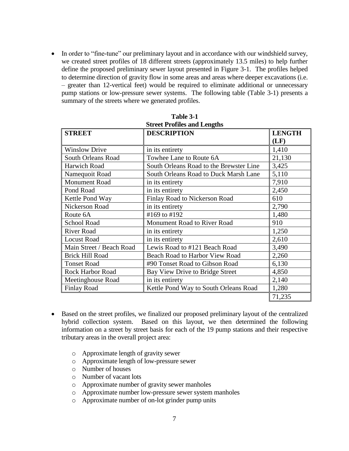• In order to "fine-tune" our preliminary layout and in accordance with our windshield survey, we created street profiles of 18 different streets (approximately 13.5 miles) to help further define the proposed preliminary sewer layout presented in Figure 3-1. The profiles helped to determine direction of gravity flow in some areas and areas where deeper excavations (i.e. – greater than 12-vertical feet) would be required to eliminate additional or unnecessary pump stations or low-pressure sewer systems. The following table (Table 3-1) presents a summary of the streets where we generated profiles.

| <b>STREET</b>             | <b>DESCRIPTION</b>                      | <b>LENGTH</b> |
|---------------------------|-----------------------------------------|---------------|
|                           |                                         | (LF)          |
| <b>Winslow Drive</b>      | in its entirety                         | 1,410         |
| <b>South Orleans Road</b> | Towhee Lane to Route 6A                 | 21,130        |
| <b>Harwich Road</b>       | South Orleans Road to the Brewster Line | 3,425         |
| Namequoit Road            | South Orleans Road to Duck Marsh Lane   | 5,110         |
| Monument Road             | in its entirety                         | 7,910         |
| Pond Road                 | in its entirety                         | 2,450         |
| Kettle Pond Way           | Finlay Road to Nickerson Road           | 610           |
| Nickerson Road            | in its entirety                         | 2,790         |
| Route 6A                  | #169 to #192                            | 1,480         |
| <b>School Road</b>        | Monument Road to River Road             | 910           |
| <b>River Road</b>         | in its entirety                         | 1,250         |
| <b>Locust Road</b>        | in its entirety                         | 2,610         |
| Main Street / Beach Road  | Lewis Road to #121 Beach Road           | 3,490         |
| <b>Brick Hill Road</b>    | Beach Road to Harbor View Road          | 2,260         |
| <b>Tonset Road</b>        | #90 Tonset Road to Gibson Road          | 6,130         |
| <b>Rock Harbor Road</b>   | Bay View Drive to Bridge Street         | 4,850         |
| Meetinghouse Road         | in its entirety                         | 2,140         |
| <b>Finlay Road</b>        | Kettle Pond Way to South Orleans Road   | 1,280         |
|                           |                                         | 71,235        |

| Table 3-1                          |  |
|------------------------------------|--|
| <b>Street Profiles and Lengths</b> |  |

- Based on the street profiles, we finalized our proposed preliminary layout of the centralized hybrid collection system. Based on this layout, we then determined the following information on a street by street basis for each of the 19 pump stations and their respective tributary areas in the overall project area:
	- o Approximate length of gravity sewer
	- o Approximate length of low-pressure sewer
	- o Number of houses
	- o Number of vacant lots
	- o Approximate number of gravity sewer manholes
	- o Approximate number low-pressure sewer system manholes
	- o Approximate number of on-lot grinder pump units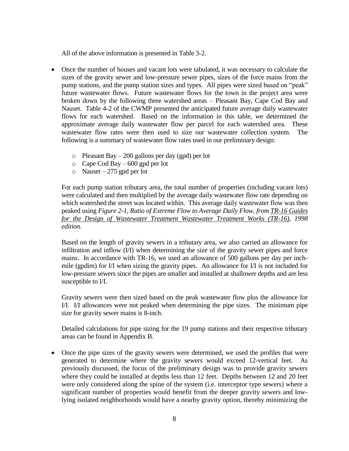All of the above information is presented in Table 3-2.

- Once the number of houses and vacant lots were tabulated, it was necessary to calculate the sizes of the gravity sewer and low-pressure sewer pipes, sizes of the force mains from the pump stations, and the pump station sizes and types. All pipes were sized based on "peak" future wastewater flows. Future wastewater flows for the town in the project area were broken down by the following three watershed areas – Pleasant Bay, Cape Cod Bay and Nauset. Table 4-2 of the CWMP presented the anticipated future average daily wastewater flows for each watershed. Based on the information in this table, we determined the approximate average daily wastewater flow per parcel for each watershed area. These wastewater flow rates were then used to size our wastewater collection system. The following is a summary of wastewater flow rates used in our preliminary design:
	- $\circ$  Pleasant Bay 200 gallons per day (gpd) per lot
	- o Cape Cod Bay 600 gpd per lot
	- $\circ$  Nauset 275 gpd per lot

For each pump station tributary area, the total number of properties (including vacant lots) were calculated and then multiplied by the average daily wastewater flow rate depending on which watershed the street was located within. This average daily wastewater flow was then peaked using *Figure 2-1, Ratio of Extreme Flow to Average Daily Flow, from TR-16 Guides for the Design of Wastewater Treatment Wastewater Treatment Works (TR-16), 1998 edition.*

Based on the length of gravity sewers in a tributary area, we also carried an allowance for infiltration and inflow (I/I) when determining the size of the gravity sewer pipes and force mains. In accordance with TR-16, we used an allowance of 500 gallons per day per inchmile (gpdim) for I/I when sizing the gravity pipes. An allowance for I/I is not included for low-pressure sewers since the pipes are smaller and installed at shallower depths and are less susceptible to I/I.

Gravity sewers were then sized based on the peak wastewater flow plus the allowance for I/I. I/I allowances were not peaked when determining the pipe sizes. The minimum pipe size for gravity sewer mains is 8-inch.

Detailed calculations for pipe sizing for the 19 pump stations and their respective tributary areas can be found in Appendix B.

• Once the pipe sizes of the gravity sewers were determined, we used the profiles that were generated to determine where the gravity sewers would exceed 12-vertical feet. As previously discussed, the focus of the preliminary design was to provide gravity sewers where they could be installed at depths less than 12 feet. Depths between 12 and 20 feet were only considered along the spine of the system (i.e. interceptor type sewers) where a significant number of properties would benefit from the deeper gravity sewers and lowlying isolated neighborhoods would have a nearby gravity option, thereby minimizing the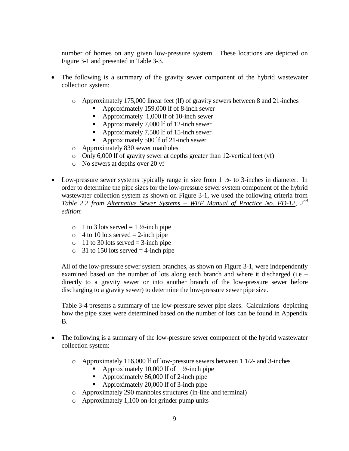number of homes on any given low-pressure system. These locations are depicted on Figure 3-1 and presented in Table 3-3.

- The following is a summary of the gravity sewer component of the hybrid wastewater collection system:
	- o Approximately 175,000 linear feet (lf) of gravity sewers between 8 and 21-inches
		- Approximately 159,000 lf of 8-inch sewer
		- Approximately 1,000 lf of 10-inch sewer
		- Approximately 7,000 lf of 12-inch sewer
		- Approximately 7,500 lf of 15-inch sewer
		- Approximately 500 lf of 21-inch sewer
	- o Approximately 830 sewer manholes
	- o Only 6,000 lf of gravity sewer at depths greater than 12-vertical feet (vf)
	- o No sewers at depths over 20 vf
- Low-pressure sewer systems typically range in size from  $1\frac{1}{2}$  to 3-inches in diameter. In order to determine the pipe sizes for the low-pressure sewer system component of the hybrid wastewater collection system as shown on Figure 3-1, we used the following criteria from *Table 2.2 from Alternative Sewer Systems – WEF Manual of Practice No. FD-12, 2nd edition*:
	- $\circ$  1 to 3 lots served = 1 ½-inch pipe
	- $\circ$  4 to 10 lots served = 2-inch pipe
	- $\circ$  11 to 30 lots served = 3-inch pipe
	- $\circ$  31 to 150 lots served = 4-inch pipe

All of the low-pressure sewer system branches, as shown on Figure 3-1, were independently examined based on the number of lots along each branch and where it discharged (i.e – directly to a gravity sewer or into another branch of the low-pressure sewer before discharging to a gravity sewer) to determine the low-pressure sewer pipe size.

Table 3-4 presents a summary of the low-pressure sewer pipe sizes. Calculations depicting how the pipe sizes were determined based on the number of lots can be found in Appendix B.

- The following is a summary of the low-pressure sewer component of the hybrid wastewater collection system:
	- $\circ$  Approximately 116,000 lf of low-pressure sewers between 1 1/2- and 3-inches
		- Approximately 10,000 lf of 1 ½-inch pipe
		- Approximately 86,000 lf of 2-inch pipe
		- Approximately 20,000 lf of 3-inch pipe
	- o Approximately 290 manholes structures (in-line and terminal)
	- o Approximately 1,100 on-lot grinder pump units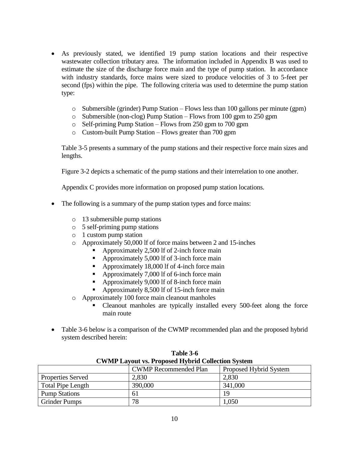- As previously stated, we identified 19 pump station locations and their respective wastewater collection tributary area. The information included in Appendix B was used to estimate the size of the discharge force main and the type of pump station. In accordance with industry standards, force mains were sized to produce velocities of 3 to 5-feet per second (fps) within the pipe. The following criteria was used to determine the pump station type:
	- $\circ$  Submersible (grinder) Pump Station Flows less than 100 gallons per minute (gpm)
	- o Submersible (non-clog) Pump Station Flows from 100 gpm to 250 gpm
	- o Self-priming Pump Station Flows from 250 gpm to 700 gpm
	- o Custom-built Pump Station Flows greater than 700 gpm

Table 3-5 presents a summary of the pump stations and their respective force main sizes and lengths.

Figure 3-2 depicts a schematic of the pump stations and their interrelation to one another.

Appendix C provides more information on proposed pump station locations.

- The following is a summary of the pump station types and force mains:
	- o 13 submersible pump stations
	- o 5 self-priming pump stations
	- o 1 custom pump station
	- o Approximately 50,000 lf of force mains between 2 and 15-inches
		- Approximately 2,500 lf of 2-inch force main
		- Approximately 5,000 lf of 3-inch force main
		- Approximately 18,000 lf of 4-inch force main
		- Approximately 7,000 lf of 6-inch force main
		- Approximately 9,000 lf of 8-inch force main
		- Approximately 8,500 lf of 15-inch force main
	- o Approximately 100 force main cleanout manholes
		- Cleanout manholes are typically installed every 500-feet along the force main route
- Table 3-6 below is a comparison of the CWMP recommended plan and the proposed hybrid system described herein:

**Table 3-6**

| <b>CWMP Layout vs. Proposed Hybrid Collection System</b> |         |         |  |
|----------------------------------------------------------|---------|---------|--|
| <b>CWMP</b> Recommended Plan<br>Proposed Hybrid System   |         |         |  |
| <b>Properties Served</b>                                 | 2,830   | 2,830   |  |
| <b>Total Pipe Length</b>                                 | 390,000 | 341,000 |  |
| <b>Pump Stations</b>                                     | 61      | 19      |  |
| <b>Grinder Pumps</b>                                     | 78      | 1,050   |  |

|  |  | Table 3-6 |                                                          |  |
|--|--|-----------|----------------------------------------------------------|--|
|  |  |           | <b>CWMP Layout vs. Proposed Hybrid Collection System</b> |  |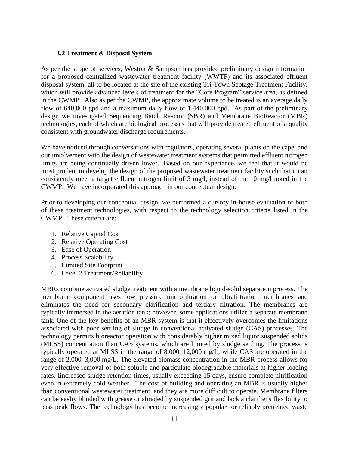#### **3.2 Treatment & Disposal System**

As per the scope of services, Weston & Sampson has provided preliminary design information for a proposed centralized wastewater treatment facility (WWTF) and its associated effluent disposal system, all to be located at the site of the existing Tri-Town Septage Treatment Facility, which will provide advanced levels of treatment for the "Core Program" service area, as defined in the CWMP. Also as per the CWMP, the approximate volume to be treated is an average daily flow of 640,000 gpd and a maximum daily flow of 1,440,000 gpd. As part of the preliminary design we investigated Sequencing Batch Reactor (SBR) and Membrane BioReactor (MBR) technologies, each of which are biological processes that will provide treated effluent of a quality consistent with groundwater discharge requirements.

We have noticed through conversations with regulators, operating several plants on the cape, and our involvement with the design of wastewater treatment systems that permitted effluent nitrogen limits are being continually driven lower. Based on our experience, we feel that it would be most prudent to develop the design of the proposed wastewater treatment facility such that it can consistently meet a target effluent nitrogen limit of 3 mg/l, instead of the 10 mg/l noted in the CWMP. We have incorporated this approach in our conceptual design.

Prior to developing our conceptual design, we performed a cursory in-house evaluation of both of these treatment technologies, with respect to the technology selection criteria listed in the CWMP. These criteria are:

- 1. Relative Capital Cost
- 2. Relative Operating Cost
- 3. Ease of Operation
- 4. Process Scalability
- 5. Limited Site Footprint
- 6. Level 2 Treatment/Reliability

MBRs combine activated sludge treatment with a [membrane](http://en.wikipedia.org/wiki/Membrane_technology) liquid-solid separation process. The membrane component uses low pressure [microfiltration](http://en.wikipedia.org/wiki/Microfiltration) or [ultrafiltration](http://en.wikipedia.org/wiki/Ultrafiltration) membranes and eliminates the need for secondary clarification and tertiary filtration. The membranes are typically immersed in the aeration tank; however, some applications utilize a separate membrane tank. One of the key benefits of an MBR system is that it effectively overcomes the limitations associated with poor settling of sludge in conventional [activated sludge](http://en.wikipedia.org/wiki/Activated_sludge) (CAS) processes. The technology permits bioreactor operation with considerably higher mixed liquor suspended solids (MLSS) concentration than CAS systems, which are limited by sludge settling. The process is typically operated at MLSS in the range of 8,000–12,000 mg/L, while CAS are operated in the range of 2,000–3,000 mg/L. The elevated biomass concentration in the MBR process allows for very effective removal of both soluble and particulate biodegradable materials at higher loading rates. Iincreased sludge retention times, usually exceeding 15 days, ensure complete nitrification even in extremely cold weather. The cost of building and operating an MBR is usually higher than conventional wastewater treatment, and they are more difficult to operate. Membrane filters can be easliy blinded with grease or abraded by suspended grit and lack a clarifier's flexibility to pass peak flows. The technology has become increasingly popular for reliably pretreated waste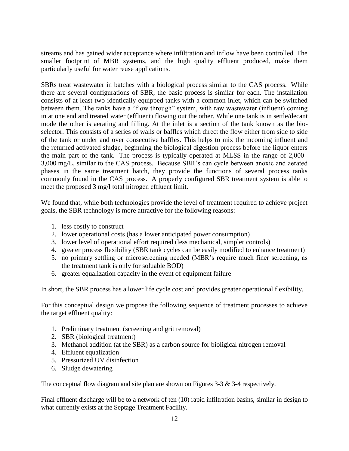streams and has gained wider acceptance where infiltration and inflow have been controlled. The smaller footprint of MBR systems, and the high quality effluent produced, make them particularly useful for water reuse applications.

SBRs treat wastewater in batches with a biological process similar to the CAS process. While there are several configurations of SBR, the basic process is similar for each. The installation consists of at least two identically equipped tanks with a common inlet, which can be switched between them. The tanks have a "flow through" system, with raw wastewater (influent) coming in at one end and treated water (effluent) flowing out the other. While one tank is in settle/decant mode the other is [aerating](http://en.wikipedia.org/wiki/Aeration) and filling. At the inlet is a section of the tank known as the bioselector. This consists of a series of walls or baffles which direct the flow either from side to side of the tank or under and over consecutive baffles. This helps to mix the incoming influent and the returned activated sludge, beginning the biological digestion process before the liquor enters the main part of the tank. The process is typically operated at MLSS in the range of 2,000– 3,000 mg/L, similar to the CAS process. Because SBR's can cycle between anoxic and aerated phases in the same treatment batch, they provide the functions of several process tanks commonly found in the CAS process. A properly configured SBR treatment system is able to meet the proposed 3 mg/l total nitrogen effluent limit.

We found that, while both technologies provide the level of treatment required to achieve project goals, the SBR technology is more attractive for the following reasons:

- 1. less costly to construct
- 2. lower operational costs (has a lower anticipated power consumption)
- 3. lower level of operational effort required (less mechanical, simpler controls)
- 4. greater process flexibility (SBR tank cycles can be easily modified to enhance treatment)
- 5. no primary settling or microscreening needed (MBR's require much finer screening, as the treatment tank is only for soluable BOD)
- 6. greater equalization capacity in the event of equipment failure

In short, the SBR process has a lower life cycle cost and provides greater operational flexibility.

For this conceptual design we propose the following sequence of treatment processes to achieve the target effluent quality:

- 1. Preliminary treatment (screening and grit removal)
- 2. SBR (biological treatment)
- 3. Methanol addition (at the SBR) as a carbon source for bioligical nitrogen removal
- 4. Effluent equalization
- 5. Pressurized UV disinfection
- 6. Sludge dewatering

The conceptual flow diagram and site plan are shown on Figures 3-3 & 3-4 respectively.

Final effluent discharge will be to a network of ten (10) rapid infiltration basins, similar in design to what currently exists at the Septage Treatment Facility.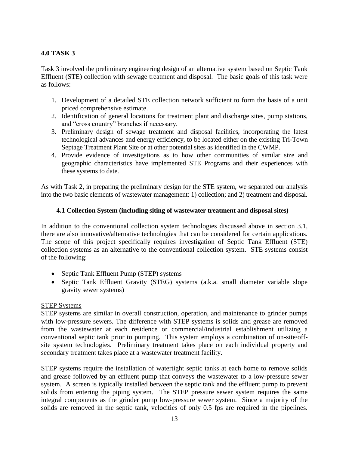# **4.0 TASK 3**

Task 3 involved the preliminary engineering design of an alternative system based on Septic Tank Effluent (STE) collection with sewage treatment and disposal. The basic goals of this task were as follows:

- 1. Development of a detailed STE collection network sufficient to form the basis of a unit priced comprehensive estimate.
- 2. Identification of general locations for treatment plant and discharge sites, pump stations, and "cross country" branches if necessary.
- 3. Preliminary design of sewage treatment and disposal facilities, incorporating the latest technological advances and energy efficiency, to be located either on the existing Tri-Town Septage Treatment Plant Site or at other potential sites as identified in the CWMP.
- 4. Provide evidence of investigations as to how other communities of similar size and geographic characteristics have implemented STE Programs and their experiences with these systems to date.

As with Task 2, in preparing the preliminary design for the STE system, we separated our analysis into the two basic elements of wastewater management: 1) collection; and 2) treatment and disposal.

#### **4.1 Collection System (including siting of wastewater treatment and disposal sites)**

In addition to the conventional collection system technologies discussed above in section 3.1, there are also innovative/alternative technologies that can be considered for certain applications. The scope of this project specifically requires investigation of Septic Tank Effluent (STE) collection systems as an alternative to the conventional collection system. STE systems consist of the following:

- Septic Tank Effluent Pump (STEP) systems
- Septic Tank Effluent Gravity (STEG) systems (a.k.a. small diameter variable slope gravity sewer systems)

#### STEP Systems

STEP systems are similar in overall construction, operation, and maintenance to grinder pumps with low-pressure sewers. The difference with STEP systems is solids and grease are removed from the wastewater at each residence or commercial/industrial establishment utilizing a conventional septic tank prior to pumping. This system employs a combination of on-site/offsite system technologies. Preliminary treatment takes place on each individual property and secondary treatment takes place at a wastewater treatment facility.

STEP systems require the installation of watertight septic tanks at each home to remove solids and grease followed by an effluent pump that conveys the wastewater to a low-pressure sewer system. A screen is typically installed between the septic tank and the effluent pump to prevent solids from entering the piping system. The STEP pressure sewer system requires the same integral components as the grinder pump low-pressure sewer system. Since a majority of the solids are removed in the septic tank, velocities of only 0.5 fps are required in the pipelines.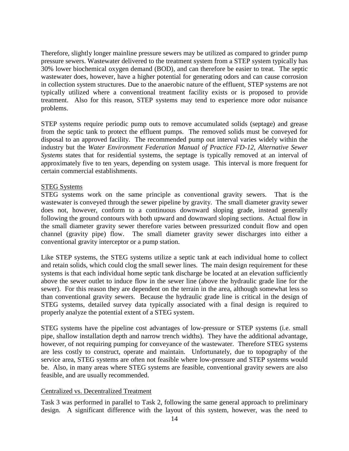Therefore, slightly longer mainline pressure sewers may be utilized as compared to grinder pump pressure sewers. Wastewater delivered to the treatment system from a STEP system typically has 30% lower biochemical oxygen demand (BOD), and can therefore be easier to treat. The septic wastewater does, however, have a higher potential for generating odors and can cause corrosion in collection system structures. Due to the anaerobic nature of the effluent, STEP systems are not typically utilized where a conventional treatment facility exists or is proposed to provide treatment. Also for this reason, STEP systems may tend to experience more odor nuisance problems.

STEP systems require periodic pump outs to remove accumulated solids (septage) and grease from the septic tank to protect the effluent pumps. The removed solids must be conveyed for disposal to an approved facility. The recommended pump out interval varies widely within the industry but the *Water Environment Federation Manual of Practice FD-12, Alternative Sewer Systems* states that for residential systems, the septage is typically removed at an interval of approximately five to ten years, depending on system usage. This interval is more frequent for certain commercial establishments.

#### STEG Systems

STEG systems work on the same principle as conventional gravity sewers. That is the wastewater is conveyed through the sewer pipeline by gravity. The small diameter gravity sewer does not, however, conform to a continuous downward sloping grade, instead generally following the ground contours with both upward and downward sloping sections. Actual flow in the small diameter gravity sewer therefore varies between pressurized conduit flow and open channel (gravity pipe) flow. The small diameter gravity sewer discharges into either a conventional gravity interceptor or a pump station.

Like STEP systems, the STEG systems utilize a septic tank at each individual home to collect and retain solids, which could clog the small sewer lines. The main design requirement for these systems is that each individual home septic tank discharge be located at an elevation sufficiently above the sewer outlet to induce flow in the sewer line (above the hydraulic grade line for the sewer). For this reason they are dependent on the terrain in the area, although somewhat less so than conventional gravity sewers. Because the hydraulic grade line is critical in the design of STEG systems, detailed survey data typically associated with a final design is required to properly analyze the potential extent of a STEG system.

STEG systems have the pipeline cost advantages of low-pressure or STEP systems (i.e. small pipe, shallow installation depth and narrow trench widths). They have the additional advantage, however, of not requiring pumping for conveyance of the wastewater. Therefore STEG systems are less costly to construct, operate and maintain. Unfortunately, due to topography of the service area, STEG systems are often not feasible where low-pressure and STEP systems would be. Also, in many areas where STEG systems are feasible, conventional gravity sewers are also feasible, and are usually recommended.

#### Centralized vs. Decentralized Treatment

Task 3 was performed in parallel to Task 2, following the same general approach to preliminary design. A significant difference with the layout of this system, however, was the need to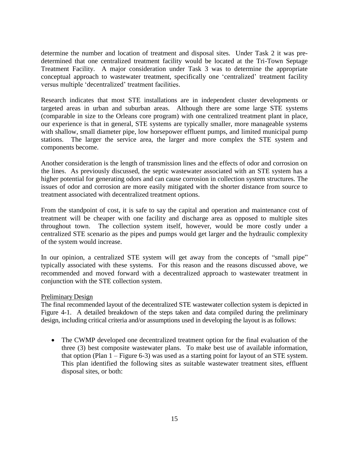determine the number and location of treatment and disposal sites. Under Task 2 it was predetermined that one centralized treatment facility would be located at the Tri-Town Septage Treatment Facility. A major consideration under Task 3 was to determine the appropriate conceptual approach to wastewater treatment, specifically one 'centralized' treatment facility versus multiple 'decentralized' treatment facilities.

Research indicates that most STE installations are in independent cluster developments or targeted areas in urban and suburban areas. Although there are some large STE systems (comparable in size to the Orleans core program) with one centralized treatment plant in place, our experience is that in general, STE systems are typically smaller, more manageable systems with shallow, small diameter pipe, low horsepower effluent pumps, and limited municipal pump stations. The larger the service area, the larger and more complex the STE system and components become.

Another consideration is the length of transmission lines and the effects of odor and corrosion on the lines. As previously discussed, the septic wastewater associated with an STE system has a higher potential for generating odors and can cause corrosion in collection system structures. The issues of odor and corrosion are more easily mitigated with the shorter distance from source to treatment associated with decentralized treatment options.

From the standpoint of cost, it is safe to say the capital and operation and maintenance cost of treatment will be cheaper with one facility and discharge area as opposed to multiple sites throughout town. The collection system itself, however, would be more costly under a centralized STE scenario as the pipes and pumps would get larger and the hydraulic complexity of the system would increase.

In our opinion, a centralized STE system will get away from the concepts of "small pipe" typically associated with these systems. For this reason and the reasons discussed above, we recommended and moved forward with a decentralized approach to wastewater treatment in conjunction with the STE collection system.

#### Preliminary Design

The final recommended layout of the decentralized STE wastewater collection system is depicted in Figure 4-1. A detailed breakdown of the steps taken and data compiled during the preliminary design, including critical criteria and/or assumptions used in developing the layout is as follows:

• The CWMP developed one decentralized treatment option for the final evaluation of the three (3) best composite wastewater plans. To make best use of available information, that option (Plan 1 – Figure 6-3) was used as a starting point for layout of an STE system. This plan identified the following sites as suitable wastewater treatment sites, effluent disposal sites, or both: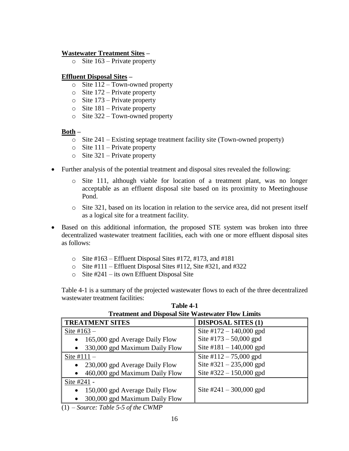### **Wastewater Treatment Sites –**

 $\circ$  Site 163 – Private property

#### **Effluent Disposal Sites –**

- o Site 112 Town-owned property
- $\circ$  Site 172 Private property
- o Site 173 Private property
- $\circ$  Site 181 Private property
- o Site 322 Town-owned property

#### **Both –**

- o Site 241 Existing septage treatment facility site (Town-owned property)
- $\circ$  Site 111 Private property
- $\circ$  Site 321 Private property
- Further analysis of the potential treatment and disposal sites revealed the following:
	- o Site 111, although viable for location of a treatment plant, was no longer acceptable as an effluent disposal site based on its proximity to Meetinghouse Pond.
	- o Site 321, based on its location in relation to the service area, did not present itself as a logical site for a treatment facility.
- Based on this additional information, the proposed STE system was broken into three decentralized wastewater treatment facilities, each with one or more effluent disposal sites as follows:
	- $\circ$  Site #163 Effluent Disposal Sites #172, #173, and #181
	- $\circ$  Site #111 Effluent Disposal Sites #112, Site #321, and #322
	- o Site #241 its own Effluent Disposal Site

Table 4-1 is a summary of the projected wastewater flows to each of the three decentralized wastewater treatment facilities:

| Treatment and Disposal Site Wastewater Flow Limits |  |  |  |  |
|----------------------------------------------------|--|--|--|--|
| <b>DISPOSAL SITES (1)</b>                          |  |  |  |  |
| Site $\#172 - 140,000$ gpd                         |  |  |  |  |
| Site #173 $-$ 50,000 gpd                           |  |  |  |  |
| Site #181 - 140,000 gpd                            |  |  |  |  |
| Site $\#112 - 75,000$ gpd                          |  |  |  |  |
| Site #321 $- 235,000$ gpd                          |  |  |  |  |
| Site $\#322 - 150,000$ gpd                         |  |  |  |  |
|                                                    |  |  |  |  |
| Site $\#241 - 300,000$ gpd                         |  |  |  |  |
|                                                    |  |  |  |  |
|                                                    |  |  |  |  |

**Table 4-1 Treatment and Disposal Site Wastewater Flow Limits**

(1) – *Source: Table 5-5 of the CWMP*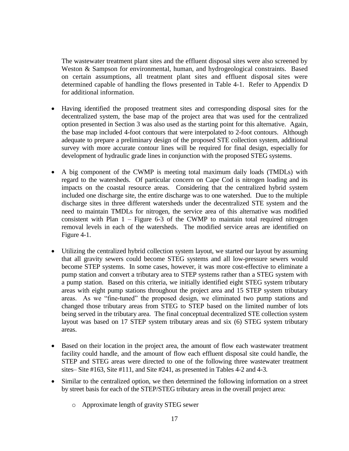The wastewater treatment plant sites and the effluent disposal sites were also screened by Weston & Sampson for environmental, human, and hydrogeological constraints. Based on certain assumptions, all treatment plant sites and effluent disposal sites were determined capable of handling the flows presented in Table 4-1. Refer to Appendix D for additional information.

- Having identified the proposed treatment sites and corresponding disposal sites for the decentralized system, the base map of the project area that was used for the centralized option presented in Section 3 was also used as the starting point for this alternative. Again, the base map included 4-foot contours that were interpolated to 2-foot contours. Although adequate to prepare a preliminary design of the proposed STE collection system, additional survey with more accurate contour lines will be required for final design, especially for development of hydraulic grade lines in conjunction with the proposed STEG systems.
- A big component of the CWMP is meeting total maximum daily loads (TMDLs) with regard to the watersheds. Of particular concern on Cape Cod is nitrogen loading and its impacts on the coastal resource areas. Considering that the centralized hybrid system included one discharge site, the entire discharge was to one watershed. Due to the multiple discharge sites in three different watersheds under the decentralized STE system and the need to maintain TMDLs for nitrogen, the service area of this alternative was modified consistent with Plan  $1 -$  Figure 6-3 of the CWMP to maintain total required nitrogen removal levels in each of the watersheds. The modified service areas are identified on Figure 4-1.
- Utilizing the centralized hybrid collection system layout, we started our layout by assuming that all gravity sewers could become STEG systems and all low-pressure sewers would become STEP systems. In some cases, however, it was more cost-effective to eliminate a pump station and convert a tributary area to STEP systems rather than a STEG system with a pump station. Based on this criteria, we initially identified eight STEG system tributary areas with eight pump stations throughout the project area and 15 STEP system tributary areas. As we "fine-tuned" the proposed design, we eliminated two pump stations and changed those tributary areas from STEG to STEP based on the limited number of lots being served in the tributary area. The final conceptual decentralized STE collection system layout was based on 17 STEP system tributary areas and six (6) STEG system tributary areas.
- Based on their location in the project area, the amount of flow each wastewater treatment facility could handle, and the amount of flow each effluent disposal site could handle, the STEP and STEG areas were directed to one of the following three wastewater treatment sites– Site #163, Site #111, and Site #241, as presented in Tables 4-2 and 4-3.
- Similar to the centralized option, we then determined the following information on a street by street basis for each of the STEP/STEG tributary areas in the overall project area:
	- o Approximate length of gravity STEG sewer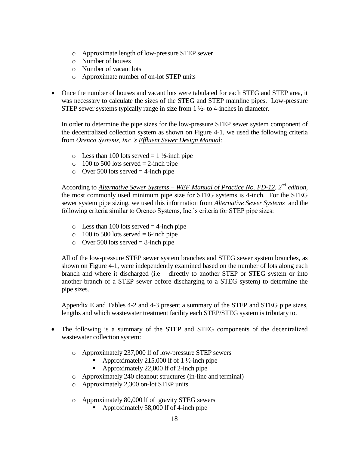- o Approximate length of low-pressure STEP sewer
- o Number of houses
- o Number of vacant lots
- o Approximate number of on-lot STEP units
- Once the number of houses and vacant lots were tabulated for each STEG and STEP area, it was necessary to calculate the sizes of the STEG and STEP mainline pipes. Low-pressure STEP sewer systems typically range in size from 1 ½- to 4-inches in diameter.

In order to determine the pipe sizes for the low-pressure STEP sewer system component of the decentralized collection system as shown on Figure 4-1, we used the following criteria from *Orenco Systems, Inc.'s Effluent Sewer Design Manual*:

- $\circ$  Less than 100 lots served = 1 ½-inch pipe
- $\circ$  100 to 500 lots served = 2-inch pipe
- $\circ$  Over 500 lots served = 4-inch pipe

According to *Alternative Sewer Systems – WEF Manual of Practice No. FD-12, 2nd edition,*  the most commonly used minimum pipe size for STEG systems is 4-inch. For the STEG sewer system pipe sizing, we used this information from *Alternative Sewer Systems* and the following criteria similar to Orenco Systems, Inc.'s criteria for STEP pipe sizes:

- $\circ$  Less than 100 lots served = 4-inch pipe
- $\circ$  100 to 500 lots served = 6-inch pipe
- $\circ$  Over 500 lots served = 8-inch pipe

All of the low-pressure STEP sewer system branches and STEG sewer system branches, as shown on Figure 4-1, were independently examined based on the number of lots along each branch and where it discharged (i.e – directly to another STEP or STEG system or into another branch of a STEP sewer before discharging to a STEG system) to determine the pipe sizes.

Appendix E and Tables 4-2 and 4-3 present a summary of the STEP and STEG pipe sizes, lengths and which wastewater treatment facility each STEP/STEG system is tributary to.

- The following is a summary of the STEP and STEG components of the decentralized wastewater collection system:
	- o Approximately 237,000 lf of low-pressure STEP sewers
		- Approximately 215,000 lf of 1 ½-inch pipe
		- Approximately 22,000 lf of 2-inch pipe
	- o Approximately 240 cleanout structures (in-line and terminal)
	- o Approximately 2,300 on-lot STEP units
	- o Approximately 80,000 lf of gravity STEG sewers
		- Approximately 58,000 lf of 4-inch pipe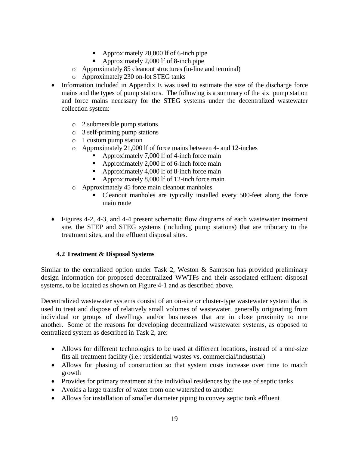- Approximately 20,000 lf of 6-inch pipe
- Approximately 2,000 lf of 8-inch pipe
- o Approximately 85 cleanout structures (in-line and terminal)
- o Approximately 230 on-lot STEG tanks
- Information included in Appendix E was used to estimate the size of the discharge force mains and the types of pump stations. The following is a summary of the six pump station and force mains necessary for the STEG systems under the decentralized wastewater collection system:
	- o 2 submersible pump stations
	- o 3 self-priming pump stations
	- o 1 custom pump station
	- o Approximately 21,000 lf of force mains between 4- and 12-inches
		- Approximately 7,000 lf of 4-inch force main
		- Approximately 2,000 lf of 6-inch force main
		- Approximately 4,000 lf of 8-inch force main
		- Approximately 8,000 lf of 12-inch force main
	- o Approximately 45 force main cleanout manholes
		- Cleanout manholes are typically installed every 500-feet along the force main route
- Figures 4-2, 4-3, and 4-4 present schematic flow diagrams of each wastewater treatment site, the STEP and STEG systems (including pump stations) that are tributary to the treatment sites, and the effluent disposal sites.

# **4.2 Treatment & Disposal Systems**

Similar to the centralized option under Task 2, Weston & Sampson has provided preliminary design information for proposed decentralized WWTFs and their associated effluent disposal systems, to be located as shown on Figure 4-1 and as described above.

Decentralized wastewater systems consist of an on-site or cluster-type wastewater system that is used to treat and dispose of relatively small volumes of wastewater, generally originating from individual or groups of dwellings and/or businesses that are in close proximity to one another. Some of the reasons for developing decentralized wastewater systems, as opposed to centralized system as described in Task 2, are:

- Allows for different technologies to be used at different locations, instead of a one-size fits all treatment facility (i.e.: residential wastes vs. commercial/industrial)
- Allows for phasing of construction so that system costs increase over time to match growth
- Provides for primary treatment at the individual residences by the use of septic tanks
- Avoids a large transfer of water from one watershed to another
- Allows for installation of smaller diameter piping to convey septic tank effluent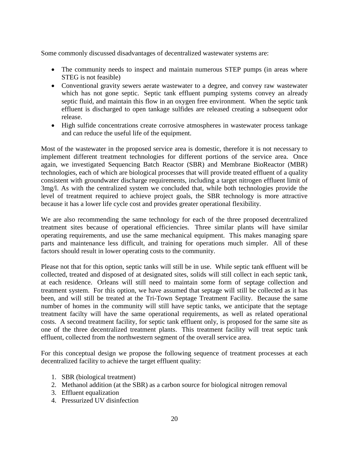Some commonly discussed disadvantages of decentralized wastewater systems are:

- The community needs to inspect and maintain numerous STEP pumps (in areas where STEG is not feasible)
- Conventional gravity sewers aerate wastewater to a degree, and convey raw wastewater which has not gone septic. Septic tank effluent pumping systems convey an already septic fluid, and maintain this flow in an oxygen free environment. When the septic tank effluent is discharged to open tankage sulfides are released creating a subsequent odor release.
- High sulfide concentrations create corrosive atmospheres in wastewater process tankage and can reduce the useful life of the equipment.

Most of the wastewater in the proposed service area is domestic, therefore it is not necessary to implement different treatment technologies for different portions of the service area. Once again, we investigated Sequencing Batch Reactor (SBR) and Membrane BioReactor (MBR) technologies, each of which are biological processes that will provide treated effluent of a quality consistent with groundwater discharge requirements, including a target nitrogen effluent limit of 3mg/l. As with the centralized system we concluded that, while both technologies provide the level of treatment required to achieve project goals, the SBR technology is more attractive because it has a lower life cycle cost and provides greater operational flexibility.

We are also recommending the same technology for each of the three proposed decentralized treatment sites because of operational efficiencies. Three similar plants will have similar operating requirements, and use the same mechanical equipment. This makes managing spare parts and maintenance less difficult, and training for operations much simpler. All of these factors should result in lower operating costs to the community.

Please not that for this option, septic tanks will still be in use. While septic tank effluent will be collected, treated and disposed of at designated sites, solids will still collect in each septic tank, at each residence. Orleans will still need to maintain some form of septage collection and treatment system. For this option, we have assumed that septage will still be collected as it has been, and will still be treated at the Tri-Town Septage Treatment Facility. Because the same number of homes in the community will still have septic tanks, we anticipate that the septage treatment facilty will have the same operational requirements, as well as related operational costs. A second treatment facility, for septic tank effluent only, is proposed for the same site as one of the three decentralized treatment plants. This treatment facility will treat septic tank effluent, collected from the northwestern segment of the overall service area.

For this conceptual design we propose the following sequence of treatment processes at each decentralized facility to achieve the target effluent quality:

- 1. SBR (biological treatment)
- 2. Methanol addition (at the SBR) as a carbon source for biological nitrogen removal
- 3. Effluent equalization
- 4. Pressurized UV disinfection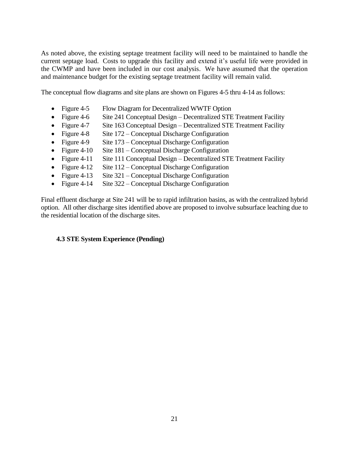As noted above, the existing septage treatment facility will need to be maintained to handle the current septage load. Costs to upgrade this facility and extend it's useful life were provided in the CWMP and have been included in our cost analysis. We have assumed that the operation and maintenance budget for the existing septage treatment facility will remain valid.

The conceptual flow diagrams and site plans are shown on Figures 4-5 thru 4-14 as follows:

- Figure 4-5 Flow Diagram for Decentralized WWTF Option
- Figure 4-6 Site 241 Conceptual Design Decentralized STE Treatment Facility
- Figure 4-7 Site 163 Conceptual Design Decentralized STE Treatment Facility
- Figure 4-8 Site 172 Conceptual Discharge Configuration
- Figure 4-9 Site 173 Conceptual Discharge Configuration
- Figure 4-10 Site 181 Conceptual Discharge Configuration
- Figure 4-11 Site 111 Conceptual Design Decentralized STE Treatment Facility
- Figure 4-12 Site 112 Conceptual Discharge Configuration
- Figure 4-13 Site 321 Conceptual Discharge Configuration
- Figure 4-14 Site 322 Conceptual Discharge Configuration

Final effluent discharge at Site 241 will be to rapid infiltration basins, as with the centralized hybrid option. All other discharge sites identified above are proposed to involve subsurface leaching due to the residential location of the discharge sites.

#### **4.3 STE System Experience (Pending)**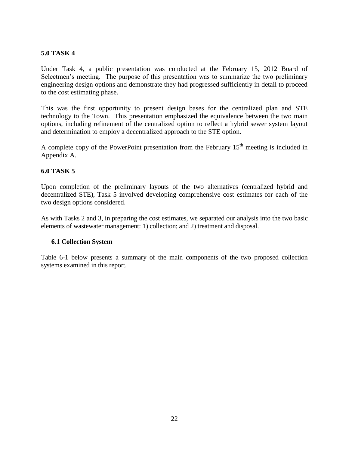# **5.0 TASK 4**

Under Task 4, a public presentation was conducted at the February 15, 2012 Board of Selectmen's meeting. The purpose of this presentation was to summarize the two preliminary engineering design options and demonstrate they had progressed sufficiently in detail to proceed to the cost estimating phase.

This was the first opportunity to present design bases for the centralized plan and STE technology to the Town. This presentation emphasized the equivalence between the two main options, including refinement of the centralized option to reflect a hybrid sewer system layout and determination to employ a decentralized approach to the STE option.

A complete copy of the PowerPoint presentation from the February  $15<sup>th</sup>$  meeting is included in Appendix A.

#### **6.0 TASK 5**

Upon completion of the preliminary layouts of the two alternatives (centralized hybrid and decentralized STE), Task 5 involved developing comprehensive cost estimates for each of the two design options considered.

As with Tasks 2 and 3, in preparing the cost estimates, we separated our analysis into the two basic elements of wastewater management: 1) collection; and 2) treatment and disposal.

#### **6.1 Collection System**

Table 6-1 below presents a summary of the main components of the two proposed collection systems examined in this report.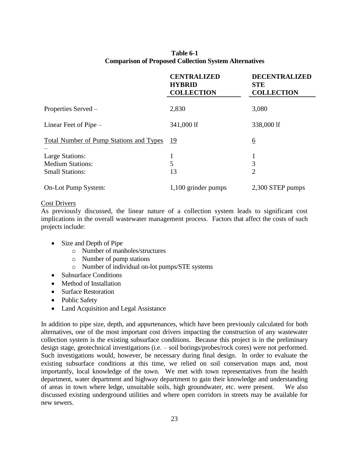| Table 6-1                                                    |  |
|--------------------------------------------------------------|--|
| <b>Comparison of Proposed Collection System Alternatives</b> |  |

|                                                                             | <b>CENTRALIZED</b><br><b>HYBRID</b><br><b>COLLECTION</b> | <b>DECENTRALIZED</b><br><b>STE</b><br><b>COLLECTION</b> |
|-----------------------------------------------------------------------------|----------------------------------------------------------|---------------------------------------------------------|
| Properties Served –                                                         | 2,830                                                    | 3,080                                                   |
| Linear Feet of Pipe $-$                                                     | 341,000 lf                                               | 338,000 lf                                              |
| <b>Total Number of Pump Stations and Types</b>                              | 19                                                       | <u>6</u>                                                |
| <b>Large Stations:</b><br><b>Medium Stations:</b><br><b>Small Stations:</b> | 1<br>5<br>13                                             | T<br>3<br>$\overline{2}$                                |
| On-Lot Pump System:                                                         | 1,100 grinder pumps                                      | 2,300 STEP pumps                                        |

#### Cost Drivers

As previously discussed, the linear nature of a collection system leads to significant cost implications in the overall wastewater management process. Factors that affect the costs of such projects include:

- Size and Depth of Pipe
	- o Number of manholes/structures
	- o Number of pump stations
	- o Number of individual on-lot pumps/STE systems
- Subsurface Conditions
- Method of Installation
- Surface Restoration
- Public Safety
- Land Acquisition and Legal Assistance

In addition to pipe size, depth, and appurtenances, which have been previously calculated for both alternatives, one of the most important cost drivers impacting the construction of any wastewater collection system is the existing subsurface conditions. Because this project is in the preliminary design stage, geotechnical investigations (i.e. – soil borings/probes/rock cores) were not performed. Such investigations would, however, be necessary during final design. In order to evaluate the existing subsurface conditions at this time, we relied on soil conservation maps and, most importantly, local knowledge of the town. We met with town representatives from the health department, water department and highway department to gain their knowledge and understanding of areas in town where ledge, unsuitable soils, high groundwater, etc. were present. We also discussed existing underground utilities and where open corridors in streets may be available for new sewers.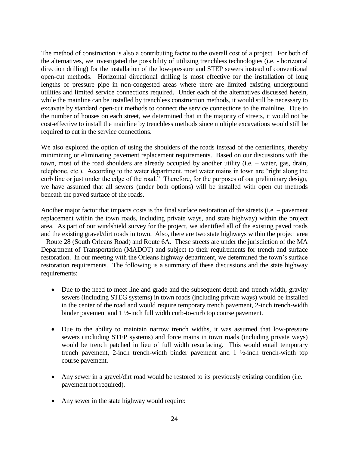The method of construction is also a contributing factor to the overall cost of a project. For both of the alternatives, we investigated the possibility of utilizing trenchless technologies (i.e. - horizontal direction drilling) for the installation of the low-pressure and STEP sewers instead of conventional open-cut methods. Horizontal directional drilling is most effective for the installation of long lengths of pressure pipe in non-congested areas where there are limited existing underground utilities and limited service connections required. Under each of the alternatives discussed herein, while the mainline can be installed by trenchless construction methods, it would still be necessary to excavate by standard open-cut methods to connect the service connections to the mainline. Due to the number of houses on each street, we determined that in the majority of streets, it would not be cost-effective to install the mainline by trenchless methods since multiple excavations would still be required to cut in the service connections.

We also explored the option of using the shoulders of the roads instead of the centerlines, thereby minimizing or eliminating pavement replacement requirements. Based on our discussions with the town, most of the road shoulders are already occupied by another utility (i.e. – water, gas, drain, telephone, etc.). According to the water department, most water mains in town are "right along the curb line or just under the edge of the road." Therefore, for the purposes of our preliminary design, we have assumed that all sewers (under both options) will be installed with open cut methods beneath the paved surface of the roads.

Another major factor that impacts costs is the final surface restoration of the streets (i.e. – pavement replacement within the town roads, including private ways, and state highway) within the project area. As part of our windshield survey for the project, we identified all of the existing paved roads and the existing gravel/dirt roads in town. Also, there are two state highways within the project area – Route 28 (South Orleans Road) and Route 6A. These streets are under the jurisdiction of the MA Department of Transportation (MADOT) and subject to their requirements for trench and surface restoration. In our meeting with the Orleans highway department, we determined the town's surface restoration requirements. The following is a summary of these discussions and the state highway requirements:

- Due to the need to meet line and grade and the subsequent depth and trench width, gravity sewers (including STEG systems) in town roads (including private ways) would be installed in the center of the road and would require temporary trench pavement, 2-inch trench-width binder pavement and 1 ½-inch full width curb-to-curb top course pavement.
- Due to the ability to maintain narrow trench widths, it was assumed that low-pressure sewers (including STEP systems) and force mains in town roads (including private ways) would be trench patched in lieu of full width resurfacing. This would entail temporary trench pavement, 2-inch trench-width binder pavement and 1 ½-inch trench-width top course pavement.
- Any sewer in a gravel/dirt road would be restored to its previously existing condition (i.e.  $$ pavement not required).
- Any sewer in the state highway would require: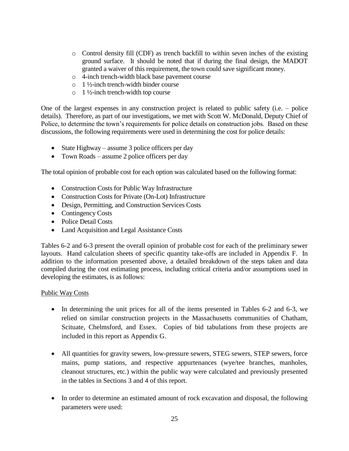- o Control density fill (CDF) as trench backfill to within seven inches of the existing ground surface. It should be noted that if during the final design, the MADOT granted a waiver of this requirement, the town could save significant money.
- o 4-inch trench-width black base pavement course
- $\circ$  1 ½-inch trench-width binder course
- $\circ$  1 ½-inch trench-width top course

One of the largest expenses in any construction project is related to public safety (i.e. – police details). Therefore, as part of our investigations, we met with Scott W. McDonald, Deputy Chief of Police, to determine the town's requirements for police details on construction jobs. Based on these discussions, the following requirements were used in determining the cost for police details:

- State Highway assume 3 police officers per day
- Town Roads assume 2 police officers per day

The total opinion of probable cost for each option was calculated based on the following format:

- Construction Costs for Public Way Infrastructure
- Construction Costs for Private (On-Lot) Infrastructure
- Design, Permitting, and Construction Services Costs
- Contingency Costs
- Police Detail Costs
- Land Acquisition and Legal Assistance Costs

Tables 6-2 and 6-3 present the overall opinion of probable cost for each of the preliminary sewer layouts. Hand calculation sheets of specific quantity take-offs are included in Appendix F. In addition to the information presented above, a detailed breakdown of the steps taken and data compiled during the cost estimating process, including critical criteria and/or assumptions used in developing the estimates, is as follows:

#### Public Way Costs

- In determining the unit prices for all of the items presented in Tables 6-2 and 6-3, we relied on similar construction projects in the Massachusetts communities of Chatham, Scituate, Chelmsford, and Essex. Copies of bid tabulations from these projects are included in this report as Appendix G.
- All quantities for gravity sewers, low-pressure sewers, STEG sewers, STEP sewers, force mains, pump stations, and respective appurtenances (wye/tee branches, manholes, cleanout structures, etc.) within the public way were calculated and previously presented in the tables in Sections 3 and 4 of this report.
- In order to determine an estimated amount of rock excavation and disposal, the following parameters were used: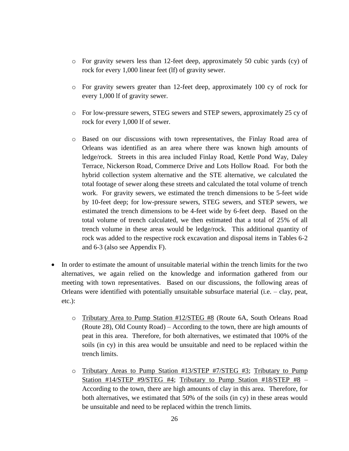- o For gravity sewers less than 12-feet deep, approximately 50 cubic yards (cy) of rock for every 1,000 linear feet (lf) of gravity sewer.
- o For gravity sewers greater than 12-feet deep, approximately 100 cy of rock for every 1,000 lf of gravity sewer.
- o For low-pressure sewers, STEG sewers and STEP sewers, approximately 25 cy of rock for every 1,000 lf of sewer.
- o Based on our discussions with town representatives, the Finlay Road area of Orleans was identified as an area where there was known high amounts of ledge/rock. Streets in this area included Finlay Road, Kettle Pond Way, Daley Terrace, Nickerson Road, Commerce Drive and Lots Hollow Road. For both the hybrid collection system alternative and the STE alternative, we calculated the total footage of sewer along these streets and calculated the total volume of trench work. For gravity sewers, we estimated the trench dimensions to be 5-feet wide by 10-feet deep; for low-pressure sewers, STEG sewers, and STEP sewers, we estimated the trench dimensions to be 4-feet wide by 6-feet deep. Based on the total volume of trench calculated, we then estimated that a total of 25% of all trench volume in these areas would be ledge/rock. This additional quantity of rock was added to the respective rock excavation and disposal items in Tables 6-2 and 6-3 (also see Appendix F).
- In order to estimate the amount of unsuitable material within the trench limits for the two alternatives, we again relied on the knowledge and information gathered from our meeting with town representatives. Based on our discussions, the following areas of Orleans were identified with potentially unsuitable subsurface material (i.e. – clay, peat, etc.):
	- o Tributary Area to Pump Station #12/STEG #8 (Route 6A, South Orleans Road (Route 28), Old County Road) – According to the town, there are high amounts of peat in this area. Therefore, for both alternatives, we estimated that 100% of the soils (in cy) in this area would be unsuitable and need to be replaced within the trench limits.
	- o Tributary Areas to Pump Station #13/STEP #7/STEG #3; Tributary to Pump Station #14/STEP #9/STEG #4; Tributary to Pump Station #18/STEP #8 – According to the town, there are high amounts of clay in this area. Therefore, for both alternatives, we estimated that 50% of the soils (in cy) in these areas would be unsuitable and need to be replaced within the trench limits.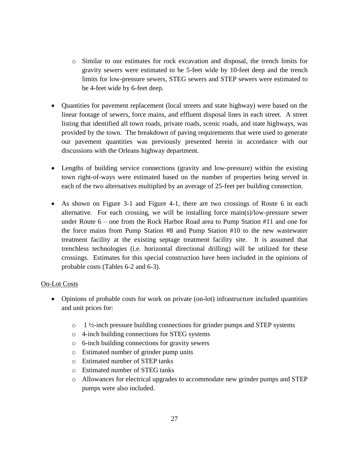- o Similar to our estimates for rock excavation and disposal, the trench limits for gravity sewers were estimated to be 5-feet wide by 10-feet deep and the trench limits for low-pressure sewers, STEG sewers and STEP sewers were estimated to be 4-feet wide by 6-feet deep.
- Quantities for pavement replacement (local streets and state highway) were based on the linear footage of sewers, force mains, and effluent disposal lines in each street. A street listing that identified all town roads, private roads, scenic roads, and state highways, was provided by the town. The breakdown of paving requirements that were used to generate our pavement quantities was previously presented herein in accordance with our discussions with the Orleans highway department.
- Lengths of building service connections (gravity and low-pressure) within the existing town right-of-ways were estimated based on the number of properties being served in each of the two alternatives multiplied by an average of 25-feet per building connection.
- As shown on Figure 3-1 and Figure 4-1, there are two crossings of Route 6 in each alternative. For each crossing, we will be installing force main(s)/low-pressure sewer under Route 6 – one from the Rock Harbor Road area to Pump Station #11 and one for the force mains from Pump Station #8 and Pump Station #10 to the new wastewater treatment facility at the existing septage treatment facility site. It is assumed that trenchless technologies (i.e. horizontal directional drilling) will be utilized for these crossings. Estimates for this special construction have been included in the opinions of probable costs (Tables 6-2 and 6-3).

#### On-Lot Costs

- Opinions of probable costs for work on private (on-lot) infrastructure included quantities and unit prices for:
	- $\circ$  1 ½-inch pressure building connections for grinder pumps and STEP systems
	- o 4-inch building connections for STEG systems
	- o 6-inch building connections for gravity sewers
	- o Estimated number of grinder pump units
	- o Estimated number of STEP tanks
	- o Estimated number of STEG tanks
	- o Allowances for electrical upgrades to accommodate new grinder pumps and STEP pumps were also included.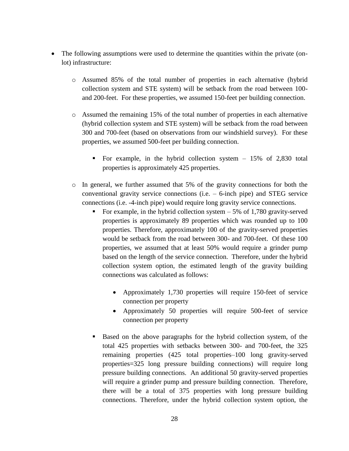- The following assumptions were used to determine the quantities within the private (onlot) infrastructure:
	- o Assumed 85% of the total number of properties in each alternative (hybrid collection system and STE system) will be setback from the road between 100 and 200-feet. For these properties, we assumed 150-feet per building connection.
	- o Assumed the remaining 15% of the total number of properties in each alternative (hybrid collection system and STE system) will be setback from the road between 300 and 700-feet (based on observations from our windshield survey). For these properties, we assumed 500-feet per building connection.
		- For example, in the hybrid collection system 15% of 2,830 total properties is approximately 425 properties.
	- o In general, we further assumed that 5% of the gravity connections for both the conventional gravity service connections (i.e. – 6-inch pipe) and STEG service connections (i.e. -4-inch pipe) would require long gravity service connections.
		- For example, in the hybrid collection system  $-5\%$  of 1,780 gravity-served properties is approximately 89 properties which was rounded up to 100 properties. Therefore, approximately 100 of the gravity-served properties would be setback from the road between 300- and 700-feet. Of these 100 properties, we assumed that at least 50% would require a grinder pump based on the length of the service connection. Therefore, under the hybrid collection system option, the estimated length of the gravity building connections was calculated as follows:
			- Approximately 1,730 properties will require 150-feet of service connection per property
			- Approximately 50 properties will require 500-feet of service connection per property
		- Based on the above paragraphs for the hybrid collection system, of the total 425 properties with setbacks between 300- and 700-feet, the 325 remaining properties (425 total properties–100 long gravity-served properties=325 long pressure building connections) will require long pressure building connections. An additional 50 gravity-served properties will require a grinder pump and pressure building connection. Therefore, there will be a total of 375 properties with long pressure building connections. Therefore, under the hybrid collection system option, the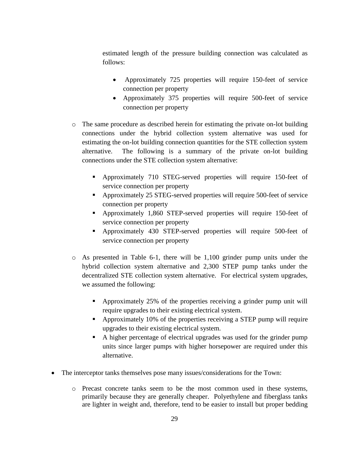estimated length of the pressure building connection was calculated as follows:

- Approximately 725 properties will require 150-feet of service connection per property
- Approximately 375 properties will require 500-feet of service connection per property
- o The same procedure as described herein for estimating the private on-lot building connections under the hybrid collection system alternative was used for estimating the on-lot building connection quantities for the STE collection system alternative. The following is a summary of the private on-lot building connections under the STE collection system alternative:
	- Approximately 710 STEG-served properties will require 150-feet of service connection per property
	- Approximately 25 STEG-served properties will require 500-feet of service connection per property
	- Approximately 1,860 STEP-served properties will require 150-feet of service connection per property
	- Approximately 430 STEP-served properties will require 500-feet of service connection per property
- o As presented in Table 6-1, there will be 1,100 grinder pump units under the hybrid collection system alternative and 2,300 STEP pump tanks under the decentralized STE collection system alternative. For electrical system upgrades, we assumed the following:
	- Approximately 25% of the properties receiving a grinder pump unit will require upgrades to their existing electrical system.
	- Approximately 10% of the properties receiving a STEP pump will require upgrades to their existing electrical system.
	- A higher percentage of electrical upgrades was used for the grinder pump units since larger pumps with higher horsepower are required under this alternative.
- The interceptor tanks themselves pose many issues/considerations for the Town:
	- o Precast concrete tanks seem to be the most common used in these systems, primarily because they are generally cheaper. Polyethylene and fiberglass tanks are lighter in weight and, therefore, tend to be easier to install but proper bedding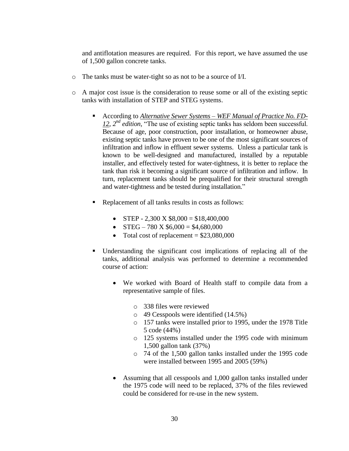and antiflotation measures are required. For this report, we have assumed the use of 1,500 gallon concrete tanks.

- o The tanks must be water-tight so as not to be a source of I/I.
- o A major cost issue is the consideration to reuse some or all of the existing septic tanks with installation of STEP and STEG systems.
	- According to *Alternative Sewer Systems – WEF Manual of Practice No. FD-12, 2nd edition,* "The use of existing septic tanks has seldom been successful. Because of age, poor construction, poor installation, or homeowner abuse, existing septic tanks have proven to be one of the most significant sources of infiltration and inflow in effluent sewer systems. Unless a particular tank is known to be well-designed and manufactured, installed by a reputable installer, and effectively tested for water-tightness, it is better to replace the tank than risk it becoming a significant source of infiltration and inflow. In turn, replacement tanks should be prequalified for their structural strength and water-tightness and be tested during installation."
	- Replacement of all tanks results in costs as follows:
		- $\bullet$  STEP 2,300 X \$8,000 = \$18,400,000
		- $\bullet$  STEG 780 X \$6,000 = \$4,680,000
		- Total cost of replacement  $= $23,080,000$
	- Understanding the significant cost implications of replacing all of the tanks, additional analysis was performed to determine a recommended course of action:
		- We worked with Board of Health staff to compile data from a representative sample of files.
			- o 338 files were reviewed
			- o 49 Cesspools were identified (14.5%)
			- o 157 tanks were installed prior to 1995, under the 1978 Title 5 code (44%)
			- o 125 systems installed under the 1995 code with minimum 1,500 gallon tank (37%)
			- o 74 of the 1,500 gallon tanks installed under the 1995 code were installed between 1995 and 2005 (59%)
		- Assuming that all cesspools and 1,000 gallon tanks installed under the 1975 code will need to be replaced, 37% of the files reviewed could be considered for re-use in the new system.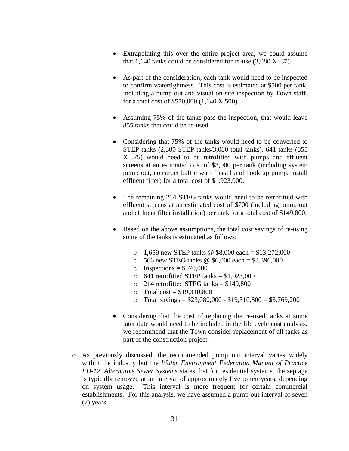- Extrapolating this over the entire project area, we could assume that 1,140 tanks could be considered for re-use (3,080 X .37).
- As part of the consideration, each tank would need to be inspected to confirm watertightness. This cost is estimated at \$500 per tank, including a pump out and visual on-site inspection by Town staff, for a total cost of \$570,000 (1,140 X 500).
- Assuming 75% of the tanks pass the inspection, that would leave 855 tanks that could be re-used.
- Considering that 75% of the tanks would need to be converted to STEP tanks (2,300 STEP tanks/3,080 total tanks), 641 tanks (855 X .75) would need to be retrofitted with pumps and effluent screens at an estimated cost of \$3,000 per tank (including system pump out, construct baffle wall, install and hook up pump, install effluent filter) for a total cost of \$1,923,000.
- The remaining 214 STEG tanks would need to be retrofitted with effluent screens at an estimated cost of \$700 (including pump out and effluent filter installation) per tank for a total cost of \$149,800.
- Based on the above assumptions, the total cost savings of re-using some of the tanks is estimated as follows:
	- $\circ$  1,659 new STEP tanks @ \$8,000 each = \$13,272,000
	- $\circ$  566 new STEG tanks @ \$6,000 each = \$3,396,000
	- $\circ$  Inspections = \$570,000
	- $\circ$  641 retrofitted STEP tanks = \$1,923,000
	- $\degree$  214 retrofitted STEG tanks = \$149,800
	- $\circ$  Total cost = \$19,310,800
	- o Total savings =  $$23,080,000 $19,310,800 = $3,769,200$
- Considering that the cost of replacing the re-used tanks at some later date would need to be included in the life cycle cost analysis, we recommend that the Town consider replacement of all tanks as part of the construction project.
- o As previously discussed, the recommended pump out interval varies widely within the industry but the *Water Environment Federation Manual of Practice FD-12, Alternative Sewer Systems* states that for residential systems, the septage is typically removed at an interval of approximately five to ten years, depending on system usage. This interval is more frequent for certain commercial establishments. For this analysis, we have assumed a pump out interval of seven (7) years.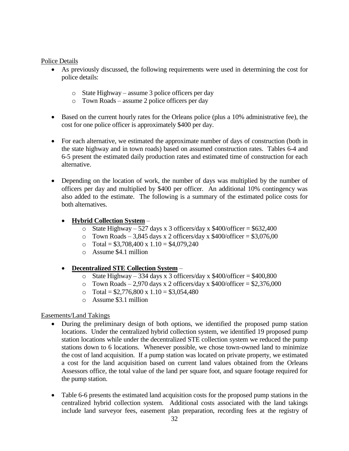#### Police Details

- As previously discussed, the following requirements were used in determining the cost for police details:
	- o State Highway assume 3 police officers per day
	- o Town Roads assume 2 police officers per day
- Based on the current hourly rates for the Orleans police (plus a 10% administrative fee), the cost for one police officer is approximately \$400 per day.
- For each alternative, we estimated the approximate number of days of construction (both in the state highway and in town roads) based on assumed construction rates. Tables 6-4 and 6-5 present the estimated daily production rates and estimated time of construction for each alternative.
- Depending on the location of work, the number of days was multiplied by the number of officers per day and multiplied by \$400 per officer. An additional 10% contingency was also added to the estimate. The following is a summary of the estimated police costs for both alternatives.

# **Hybrid Collection System** –

- o State Highway 527 days x 3 officers/day x  $$400/$ officer = \$632,400
- o Town Roads 3,845 days x 2 officers/day x  $$400/$ officer = \$3,076,00
- o Total =  $$3,708,400 \text{ x } 1.10 = $4,079,240$
- o Assume \$4.1 million

# **Decentralized STE Collection System** –

- o State Highway 334 days x 3 officers/day x  $$400/$ officer =  $$400,800$
- o Town Roads 2,970 days x 2 officers/day x  $$400/$ officer = \$2,376,000
- o Total =  $$2,776,800 \times 1.10 = $3,054,480$
- o Assume \$3.1 million

# Easements/Land Takings

- During the preliminary design of both options, we identified the proposed pump station locations. Under the centralized hybrid collection system, we identified 19 proposed pump station locations while under the decentralized STE collection system we reduced the pump stations down to 6 locations. Whenever possible, we chose town-owned land to minimize the cost of land acquisition. If a pump station was located on private property, we estimated a cost for the land acquisition based on current land values obtained from the Orleans Assessors office, the total value of the land per square foot, and square footage required for the pump station.
- Table 6-6 presents the estimated land acquisition costs for the proposed pump stations in the centralized hybrid collection system. Additional costs associated with the land takings include land surveyor fees, easement plan preparation, recording fees at the registry of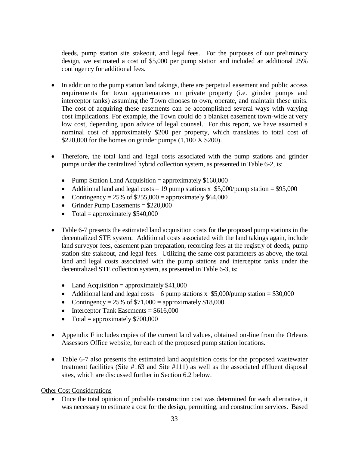deeds, pump station site stakeout, and legal fees. For the purposes of our preliminary design, we estimated a cost of \$5,000 per pump station and included an additional 25% contingency for additional fees.

- In addition to the pump station land takings, there are perpetual easement and public access requirements for town appurtenances on private property (i.e. grinder pumps and interceptor tanks) assuming the Town chooses to own, operate, and maintain these units. The cost of acquiring these easements can be accomplished several ways with varying cost implications. For example, the Town could do a blanket easement town-wide at very low cost, depending upon advice of legal counsel. For this report, we have assumed a nominal cost of approximately \$200 per property, which translates to total cost of \$220,000 for the homes on grinder pumps  $(1,100 \text{ X } $200)$ .
- Therefore, the total land and legal costs associated with the pump stations and grinder pumps under the centralized hybrid collection system, as presented in Table 6-2, is:
	- Pump Station Land Acquisition = approximately  $$160,000$
	- Additional land and legal costs 19 pump stations x  $$5,000/pump$  station = \$95,000
	- Contingency =  $25\%$  of \$255,000 = approximately \$64,000
	- Grinder Pump Easements  $= $220,000$
	- Total = approximately  $$540,000$
- Table 6-7 presents the estimated land acquisition costs for the proposed pump stations in the decentralized STE system. Additional costs associated with the land takings again, include land surveyor fees, easement plan preparation, recording fees at the registry of deeds, pump station site stakeout, and legal fees. Utilizing the same cost parameters as above, the total land and legal costs associated with the pump stations and interceptor tanks under the decentralized STE collection system, as presented in Table 6-3, is:
	- Land Acquisition = approximately  $$41,000$
	- Additional land and legal costs 6 pump stations x  $$5,000$ /pump station = \$30,000
	- Contingency =  $25\%$  of \$71,000 = approximately \$18,000
	- $\bullet$  Interceptor Tank Easements = \$616,000
	- Total = approximately  $$700,000$
- Appendix F includes copies of the current land values, obtained on-line from the Orleans Assessors Office website, for each of the proposed pump station locations.
- Table 6-7 also presents the estimated land acquisition costs for the proposed wastewater treatment facilities (Site #163 and Site #111) as well as the associated effluent disposal sites, which are discussed further in Section 6.2 below.

Other Cost Considerations

 Once the total opinion of probable construction cost was determined for each alternative, it was necessary to estimate a cost for the design, permitting, and construction services. Based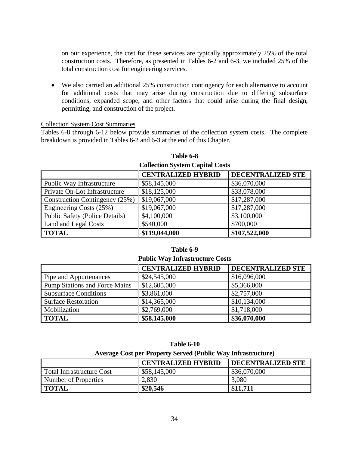on our experience, the cost for these services are typically approximately 25% of the total construction costs. Therefore, as presented in Tables 6-2 and 6-3, we included 25% of the total construction cost for engineering services.

 We also carried an additional 25% construction contingency for each alternative to account for additional costs that may arise during construction due to differing subsurface conditions, expanded scope, and other factors that could arise during the final design, permitting, and construction of the project.

#### Collection System Cost Summaries

Tables 6-8 through 6-12 below provide summaries of the collection system costs. The complete breakdown is provided in Tables 6-2 and 6-3 at the end of this Chapter.

| Concenton System Capital Costs        |                           |                   |  |  |
|---------------------------------------|---------------------------|-------------------|--|--|
|                                       | <b>CENTRALIZED HYBRID</b> | DECENTRALIZED STE |  |  |
| Public Way Infrastructure             | \$58,145,000              | \$36,070,000      |  |  |
| Private On-Lot Infrastructure         | \$18,125,000              | \$33,078,000      |  |  |
| Construction Contingency (25%)        | \$19,067,000              | \$17,287,000      |  |  |
| Engineering Costs (25%)               | \$19,067,000              | \$17,287,000      |  |  |
| <b>Public Safety (Police Details)</b> | \$4,100,000               | \$3,100,000       |  |  |
| Land and Legal Costs                  | \$540,000                 | \$700,000         |  |  |
| <b>TOTAL</b>                          | \$119,044,000             | \$107,522,000     |  |  |

#### **Table 6-8 Collection System Capital Costs**

#### **Table 6-9**

**Public Way Infrastructure Costs**

|                                      | <b>CENTRALIZED HYBRID</b> | DECENTRALIZED STE |
|--------------------------------------|---------------------------|-------------------|
| Pipe and Appurtenances               | \$24,545,000              | \$16,096,000      |
| <b>Pump Stations and Force Mains</b> | \$12,605,000              | \$5,366,000       |
| <b>Subsurface Conditions</b>         | \$3,861,000               | \$2,757,000       |
| <b>Surface Restoration</b>           | \$14,365,000              | \$10,134,000      |
| Mobilization                         | \$2,769,000               | \$1,718,000       |
| <b>TOTAL</b>                         | \$58,145,000              | \$36,070,000      |

| <b>Table 6-10</b>                                            |
|--------------------------------------------------------------|
| Average Cost per Property Served (Public Way Infrastructure) |

|                                  | <b>CENTRALIZED HYBRID</b> | <b>DECENTRALIZED STE</b> |
|----------------------------------|---------------------------|--------------------------|
| <b>Total Infrastructure Cost</b> | \$58,145,000              | \$36,070,000             |
| Number of Properties             | 2,830                     | 3,080                    |
| <b>TOTAL</b>                     | \$20,546                  | \$11,711                 |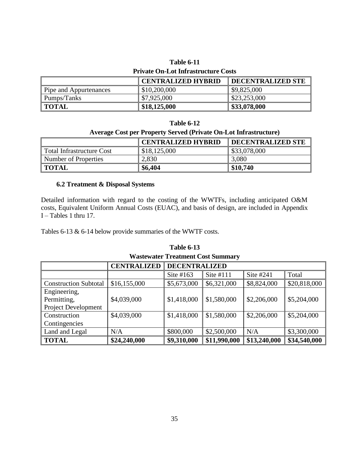# **Table 6-11 Private On-Lot Infrastructure Costs**

|                        | <b>CENTRALIZED HYBRID</b> | <b>DECENTRALIZED STE</b> |
|------------------------|---------------------------|--------------------------|
| Pipe and Appurtenances | \$10,200,000              | $\$\,9,825,000$          |
| Pumps/Tanks            | \$7,925,000               | \$23,253,000             |
| <b>TOTAL</b>           | \$18,125,000              | \$33,078,000             |

#### **Table 6-12**

#### **Average Cost per Property Served (Private On-Lot Infrastructure)**

|                           | <b>CENTRALIZED HYBRID</b> | <b>DECENTRALIZED STE</b> |
|---------------------------|---------------------------|--------------------------|
| Total Infrastructure Cost | \$18,125,000              | \$33,078,000             |
| Number of Properties      | 2,830                     | 3,080                    |
| <b>TOTAL</b>              | \$6,404                   | \$10,740                 |

# **6.2 Treatment & Disposal Systems**

Detailed information with regard to the costing of the WWTFs, including anticipated O&M costs, Equivalent Uniform Annual Costs (EUAC), and basis of design, are included in Appendix I – Tables 1 thru 17.

Tables 6-13 & 6-14 below provide summaries of the WWTF costs.

# **Table 6-13**

|  |  | <b>Wastewater Treatment Cost Summary</b> |
|--|--|------------------------------------------|
|--|--|------------------------------------------|

|                              | <b>CENTRALIZED</b> | <b>DECENTRALIZED</b> |              |              |              |
|------------------------------|--------------------|----------------------|--------------|--------------|--------------|
|                              |                    | Site $#163$          | Site $#111$  | Site #241    | Total        |
| <b>Construction Subtotal</b> | \$16,155,000       | \$5,673,000          | \$6,321,000  | \$8,824,000  | \$20,818,000 |
| Engineering,                 |                    |                      |              |              |              |
| Permitting,                  | \$4,039,000        | \$1,418,000          | \$1,580,000  | \$2,206,000  | \$5,204,000  |
| <b>Project Development</b>   |                    |                      |              |              |              |
| Construction                 | \$4,039,000        | \$1,418,000          | \$1,580,000  | \$2,206,000  | \$5,204,000  |
| Contingencies                |                    |                      |              |              |              |
| Land and Legal               | N/A                | \$800,000            | \$2,500,000  | N/A          | \$3,300,000  |
| <b>TOTAL</b>                 | \$24,240,000       | \$9,310,000          | \$11,990,000 | \$13,240,000 | \$34,540,000 |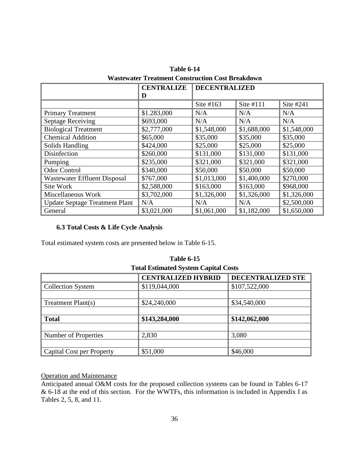|                                       | <b>CENTRALIZE</b> | <b>DECENTRALIZED</b> |             |             |
|---------------------------------------|-------------------|----------------------|-------------|-------------|
|                                       | D                 |                      |             |             |
|                                       |                   | Site $#163$          | Site #111   | Site #241   |
| <b>Primary Treatment</b>              | \$1.283,000       | N/A                  | N/A         | N/A         |
| <b>Septage Receiving</b>              | \$693,000         | N/A                  | N/A         | N/A         |
| <b>Biological Treatment</b>           | \$2,777,000       | \$1,548,000          | \$1,688,000 | \$1,548,000 |
| <b>Chemical Addition</b>              | \$65,000          | \$35,000             | \$35,000    | \$35,000    |
| Solids Handling                       | \$424,000         | \$25,000             | \$25,000    | \$25,000    |
| Disinfection                          | \$260,000         | \$131,000            | \$131,000   | \$131,000   |
| Pumping                               | \$235,000         | \$321,000            | \$321,000   | \$321,000   |
| <b>Odor Control</b>                   | \$340,000         | \$50,000             | \$50,000    | \$50,000    |
| <b>Wastewater Effluent Disposal</b>   | \$767,000         | \$1,013,000          | \$1,400,000 | \$270,000   |
| Site Work                             | \$2,588,000       | \$163,000            | \$163,000   | \$968,000   |
| Miscellaneous Work                    | \$3,702,000       | \$1,326,000          | \$1,326,000 | \$1,326,000 |
| <b>Update Septage Treatment Plant</b> | N/A               | N/A                  | N/A         | \$2,500,000 |
| General                               | \$3,021,000       | \$1,061,000          | \$1,182,000 | \$1,650,000 |

**Table 6-14 Wastewater Treatment Construction Cost Breakdown**

# **6.3 Total Costs & Life Cycle Analysis**

Total estimated system costs are presented below in Table 6-15.

| Tutai Estimateu System Capital Costs |                           |                   |  |
|--------------------------------------|---------------------------|-------------------|--|
|                                      | <b>CENTRALIZED HYBRID</b> | DECENTRALIZED STE |  |
| <b>Collection System</b>             | \$119,044,000             | \$107,522,000     |  |
|                                      |                           |                   |  |
| Treatment Plant(s)                   | \$24,240,000              | \$34,540,000      |  |
|                                      |                           |                   |  |
| <b>Total</b>                         | \$143,284,000             | \$142,062,000     |  |
|                                      |                           |                   |  |
| Number of Properties                 | 2,830                     | 3,080             |  |
|                                      |                           |                   |  |
| <b>Capital Cost per Property</b>     | \$51,000                  | \$46,000          |  |

| <b>Table 6-15</b>                           |
|---------------------------------------------|
| <b>Total Estimated System Capital Costs</b> |

# Operation and Maintenance

Anticipated annual O&M costs for the proposed collection systems can be found in Tables 6-17 & 6-18 at the end of this section. For the WWTFs, this information is included in Appendix I as Tables 2, 5, 8, and 11.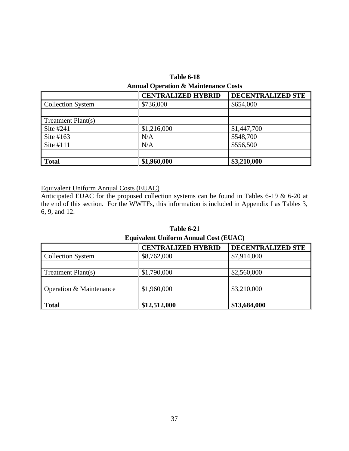| <b>Table 6-18</b>                               |
|-------------------------------------------------|
| <b>Annual Operation &amp; Maintenance Costs</b> |

|                          | <b>CENTRALIZED HYBRID</b> | DECENTRALIZED STE |
|--------------------------|---------------------------|-------------------|
| <b>Collection System</b> | \$736,000                 | \$654,000         |
|                          |                           |                   |
| Treatment Plant(s)       |                           |                   |
| Site #241                | \$1,216,000               | \$1,447,700       |
| Site $#163$              | N/A                       | \$548,700         |
| Site $#111$              | N/A                       | \$556,500         |
|                          |                           |                   |
| <b>Total</b>             | \$1,960,000               | \$3,210,000       |

# Equivalent Uniform Annual Costs (EUAC)

Anticipated EUAC for the proposed collection systems can be found in Tables 6-19 & 6-20 at the end of this section. For the WWTFs, this information is included in Appendix I as Tables 3, 6, 9, and 12.

**Table 6-21 Equivalent Uniform Annual Cost (EUAC)**

|                          | <b>CENTRALIZED HYBRID</b> | <b>DECENTRALIZED STE</b> |  |
|--------------------------|---------------------------|--------------------------|--|
| <b>Collection System</b> | \$8,762,000               | \$7,914,000              |  |
|                          |                           |                          |  |
| Treatment Plant(s)       | \$1,790,000               | \$2,560,000              |  |
|                          |                           |                          |  |
| Operation & Maintenance  | \$1,960,000               | \$3,210,000              |  |
|                          |                           |                          |  |
| <b>Total</b>             | \$12,512,000              | \$13,684,000             |  |